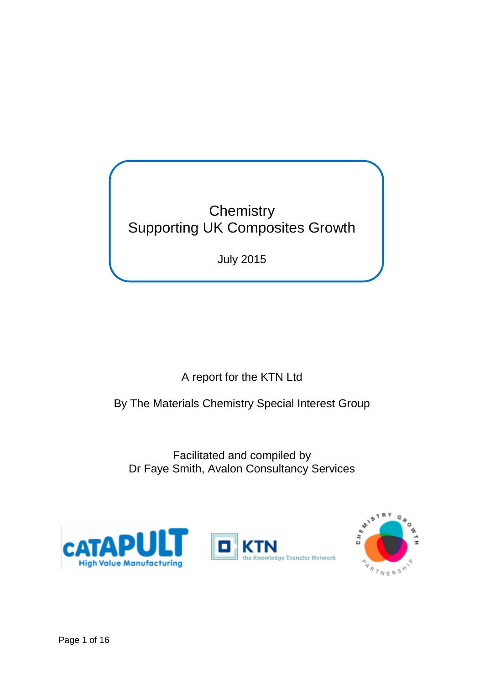**Chemistry** Supporting UK Composites Growth

July 2015

A report for the KTN Ltd

By The Materials Chemistry Special Interest Group

Facilitated and compiled by Dr Faye Smith, Avalon Consultancy Services





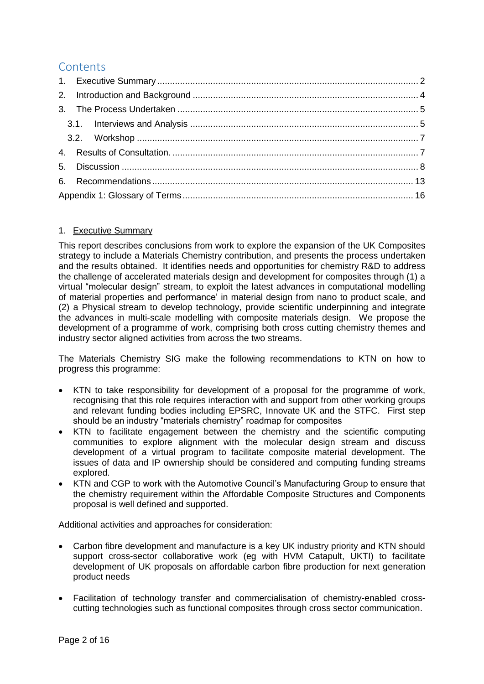# **Contents**

## <span id="page-1-0"></span>1. Executive Summary

This report describes conclusions from work to explore the expansion of the UK Composites strategy to include a Materials Chemistry contribution, and presents the process undertaken and the results obtained. It identifies needs and opportunities for chemistry R&D to address the challenge of accelerated materials design and development for composites through (1) a virtual "molecular design" stream, to exploit the latest advances in computational modelling of material properties and performance' in material design from nano to product scale, and (2) a Physical stream to develop technology, provide scientific underpinning and integrate the advances in multi-scale modelling with composite materials design. We propose the development of a programme of work, comprising both cross cutting chemistry themes and industry sector aligned activities from across the two streams.

The Materials Chemistry SIG make the following recommendations to KTN on how to progress this programme:

- KTN to take responsibility for development of a proposal for the programme of work, recognising that this role requires interaction with and support from other working groups and relevant funding bodies including EPSRC, Innovate UK and the STFC. First step should be an industry "materials chemistry" roadmap for composites
- KTN to facilitate engagement between the chemistry and the scientific computing communities to explore alignment with the molecular design stream and discuss development of a virtual program to facilitate composite material development. The issues of data and IP ownership should be considered and computing funding streams explored.
- KTN and CGP to work with the Automotive Council's Manufacturing Group to ensure that the chemistry requirement within the Affordable Composite Structures and Components proposal is well defined and supported.

Additional activities and approaches for consideration:

- Carbon fibre development and manufacture is a key UK industry priority and KTN should support cross-sector collaborative work (eg with HVM Catapult, UKTI) to facilitate development of UK proposals on affordable carbon fibre production for next generation product needs
- Facilitation of technology transfer and commercialisation of chemistry-enabled crosscutting technologies such as functional composites through cross sector communication.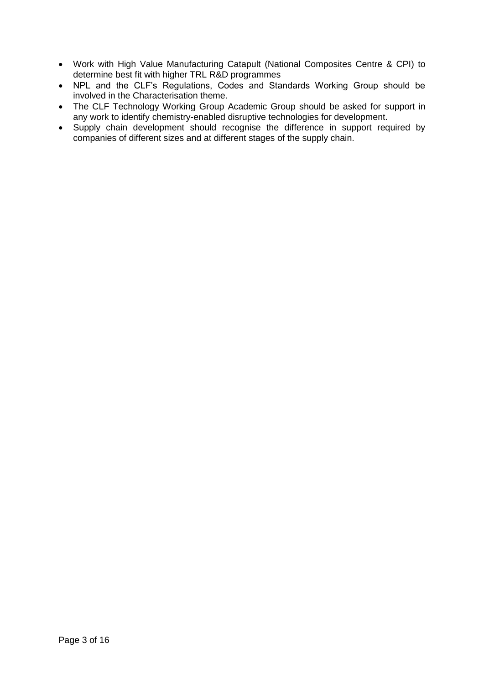- Work with High Value Manufacturing Catapult (National Composites Centre & CPI) to determine best fit with higher TRL R&D programmes
- NPL and the CLF's Regulations, Codes and Standards Working Group should be involved in the Characterisation theme.
- The CLF Technology Working Group Academic Group should be asked for support in any work to identify chemistry-enabled disruptive technologies for development.
- Supply chain development should recognise the difference in support required by companies of different sizes and at different stages of the supply chain.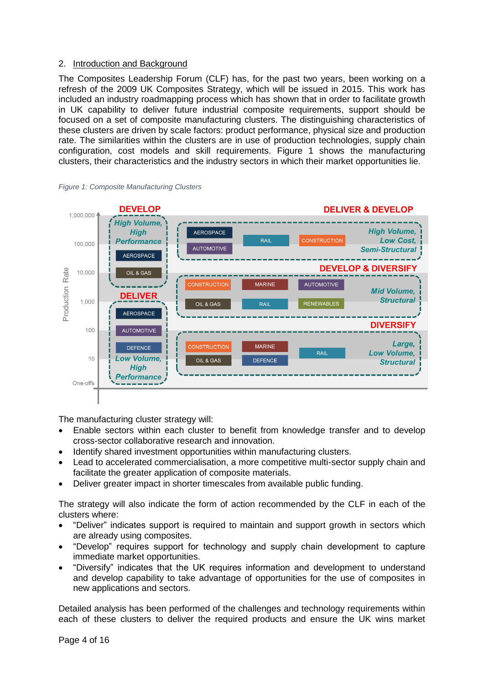## <span id="page-3-0"></span>2. Introduction and Background

The Composites Leadership Forum (CLF) has, for the past two years, been working on a refresh of the 2009 UK Composites Strategy, which will be issued in 2015. This work has included an industry roadmapping process which has shown that in order to facilitate growth in UK capability to deliver future industrial composite requirements, support should be focused on a set of composite manufacturing clusters. The distinguishing characteristics of these clusters are driven by scale factors: product performance, physical size and production rate. The similarities within the clusters are in use of production technologies, supply chain configuration, cost models and skill requirements. Figure 1 shows the manufacturing clusters, their characteristics and the industry sectors in which their market opportunities lie.





The manufacturing cluster strategy will:

- Enable sectors within each cluster to benefit from knowledge transfer and to develop cross-sector collaborative research and innovation.
- Identify shared investment opportunities within manufacturing clusters.
- Lead to accelerated commercialisation, a more competitive multi-sector supply chain and facilitate the greater application of composite materials.
- Deliver greater impact in shorter timescales from available public funding.

The strategy will also indicate the form of action recommended by the CLF in each of the clusters where:

- "Deliver" indicates support is required to maintain and support growth in sectors which are already using composites.
- "Develop" requires support for technology and supply chain development to capture immediate market opportunities.
- "Diversify" indicates that the UK requires information and development to understand and develop capability to take advantage of opportunities for the use of composites in new applications and sectors.

Detailed analysis has been performed of the challenges and technology requirements within each of these clusters to deliver the required products and ensure the UK wins market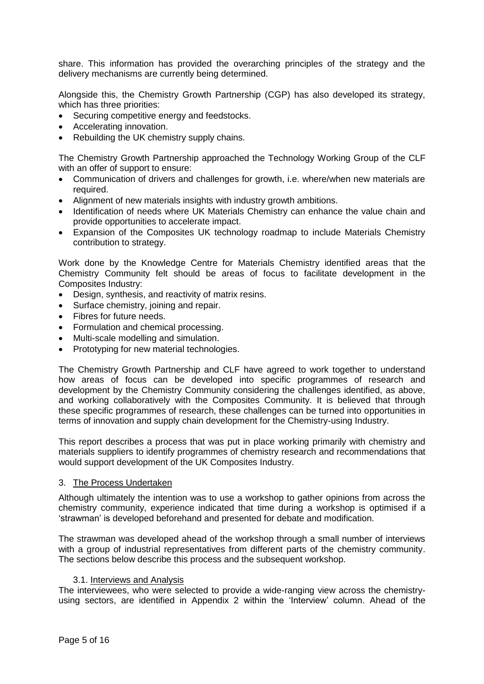share. This information has provided the overarching principles of the strategy and the delivery mechanisms are currently being determined.

Alongside this, the Chemistry Growth Partnership (CGP) has also developed its strategy, which has three priorities:

- Securing competitive energy and feedstocks.
- Accelerating innovation.
- Rebuilding the UK chemistry supply chains.

The Chemistry Growth Partnership approached the Technology Working Group of the CLF with an offer of support to ensure:

- Communication of drivers and challenges for growth, i.e. where/when new materials are required.
- Alignment of new materials insights with industry growth ambitions.
- Identification of needs where UK Materials Chemistry can enhance the value chain and provide opportunities to accelerate impact.
- Expansion of the Composites UK technology roadmap to include Materials Chemistry contribution to strategy.

Work done by the Knowledge Centre for Materials Chemistry identified areas that the Chemistry Community felt should be areas of focus to facilitate development in the Composites Industry:

- Design, synthesis, and reactivity of matrix resins.
- Surface chemistry, joining and repair.
- Fibres for future needs.
- Formulation and chemical processing.
- Multi-scale modelling and simulation.
- Prototyping for new material technologies.

The Chemistry Growth Partnership and CLF have agreed to work together to understand how areas of focus can be developed into specific programmes of research and development by the Chemistry Community considering the challenges identified, as above, and working collaboratively with the Composites Community. It is believed that through these specific programmes of research, these challenges can be turned into opportunities in terms of innovation and supply chain development for the Chemistry-using Industry.

This report describes a process that was put in place working primarily with chemistry and materials suppliers to identify programmes of chemistry research and recommendations that would support development of the UK Composites Industry.

#### <span id="page-4-0"></span>3. The Process Undertaken

Although ultimately the intention was to use a workshop to gather opinions from across the chemistry community, experience indicated that time during a workshop is optimised if a 'strawman' is developed beforehand and presented for debate and modification.

The strawman was developed ahead of the workshop through a small number of interviews with a group of industrial representatives from different parts of the chemistry community. The sections below describe this process and the subsequent workshop.

#### 3.1. Interviews and Analysis

<span id="page-4-1"></span>The interviewees, who were selected to provide a wide-ranging view across the chemistryusing sectors, are identified in Appendix 2 within the 'Interview' column. Ahead of the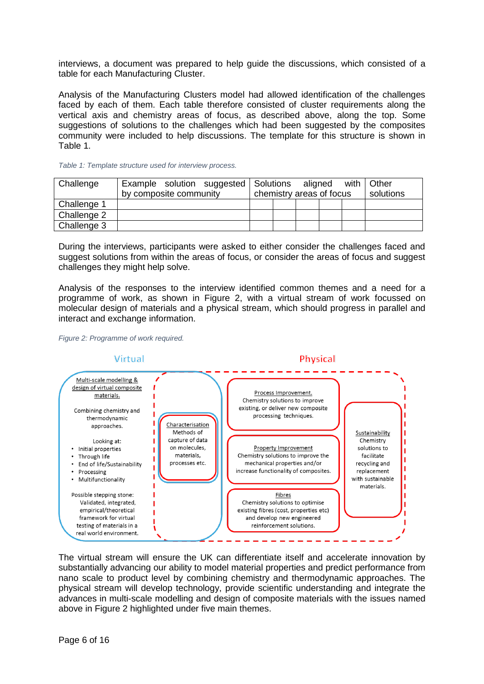interviews, a document was prepared to help guide the discussions, which consisted of a table for each Manufacturing Cluster.

Analysis of the Manufacturing Clusters model had allowed identification of the challenges faced by each of them. Each table therefore consisted of cluster requirements along the vertical axis and chemistry areas of focus, as described above, along the top. Some suggestions of solutions to the challenges which had been suggested by the composites community were included to help discussions. The template for this structure is shown in [Table 1.](#page-5-0)

| Challenge   |                        |  | Example solution suggested Solutions |                          |  | aligned |  | with | Other     |
|-------------|------------------------|--|--------------------------------------|--------------------------|--|---------|--|------|-----------|
|             | by composite community |  |                                      | chemistry areas of focus |  |         |  |      | solutions |
| Challenge 1 |                        |  |                                      |                          |  |         |  |      |           |
| Challenge 2 |                        |  |                                      |                          |  |         |  |      |           |
| Challenge 3 |                        |  |                                      |                          |  |         |  |      |           |

<span id="page-5-0"></span>*Table 1: Template structure used for interview process.*

During the interviews, participants were asked to either consider the challenges faced and suggest solutions from within the areas of focus, or consider the areas of focus and suggest challenges they might help solve.

Analysis of the responses to the interview identified common themes and a need for a programme of work, as shown in [Figure 2,](#page-5-1) with a virtual stream of work focussed on molecular design of materials and a physical stream, which should progress in parallel and interact and exchange information.

<span id="page-5-1"></span>



The virtual stream will ensure the UK can differentiate itself and accelerate innovation by substantially advancing our ability to model material properties and predict performance from nano scale to product level by combining chemistry and thermodynamic approaches. The physical stream will develop technology, provide scientific understanding and integrate the advances in multi-scale modelling and design of composite materials with the issues named above in [Figure 2](#page-5-1) highlighted under five main themes.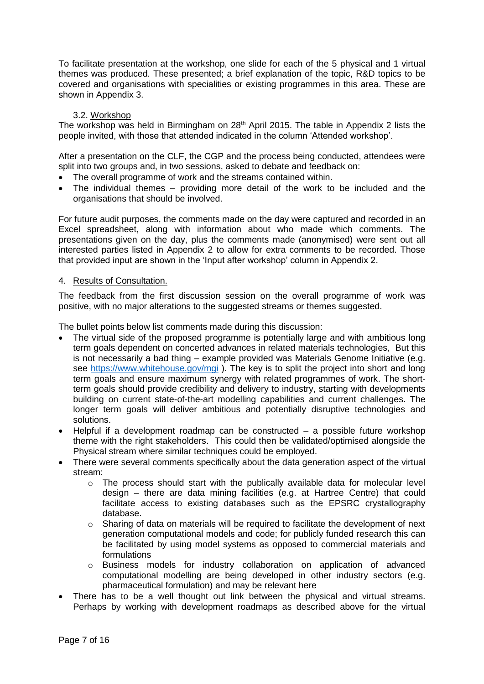To facilitate presentation at the workshop, one slide for each of the 5 physical and 1 virtual themes was produced. These presented; a brief explanation of the topic, R&D topics to be covered and organisations with specialities or existing programmes in this area. These are shown in Appendix 3.

### 3.2. Workshop

<span id="page-6-0"></span>The workshop was held in Birmingham on 28<sup>th</sup> April 2015. The table in Appendix 2 lists the people invited, with those that attended indicated in the column 'Attended workshop'.

After a presentation on the CLF, the CGP and the process being conducted, attendees were split into two groups and, in two sessions, asked to debate and feedback on:

- The overall programme of work and the streams contained within.
- The individual themes providing more detail of the work to be included and the organisations that should be involved.

For future audit purposes, the comments made on the day were captured and recorded in an Excel spreadsheet, along with information about who made which comments. The presentations given on the day, plus the comments made (anonymised) were sent out all interested parties listed in Appendix 2 to allow for extra comments to be recorded. Those that provided input are shown in the 'Input after workshop' column in Appendix 2.

#### <span id="page-6-1"></span>4. Results of Consultation.

The feedback from the first discussion session on the overall programme of work was positive, with no major alterations to the suggested streams or themes suggested.

The bullet points below list comments made during this discussion:

- The virtual side of the proposed programme is potentially large and with ambitious long term goals dependent on concerted advances in related materials technologies, But this is not necessarily a bad thing – example provided was Materials Genome Initiative (e.g. see<https://www.whitehouse.gov/mgi>). The key is to split the project into short and long term goals and ensure maximum synergy with related programmes of work. The shortterm goals should provide credibility and delivery to industry, starting with developments building on current state-of-the-art modelling capabilities and current challenges. The longer term goals will deliver ambitious and potentially disruptive technologies and solutions.
- Helpful if a development roadmap can be constructed a possible future workshop theme with the right stakeholders. This could then be validated/optimised alongside the Physical stream where similar techniques could be employed.
- There were several comments specifically about the data generation aspect of the virtual stream:
	- $\circ$  The process should start with the publically available data for molecular level design – there are data mining facilities (e.g. at Hartree Centre) that could facilitate access to existing databases such as the EPSRC crystallography database.
	- $\circ$  Sharing of data on materials will be required to facilitate the development of next generation computational models and code; for publicly funded research this can be facilitated by using model systems as opposed to commercial materials and formulations
	- o Business models for industry collaboration on application of advanced computational modelling are being developed in other industry sectors (e.g. pharmaceutical formulation) and may be relevant here
- There has to be a well thought out link between the physical and virtual streams. Perhaps by working with development roadmaps as described above for the virtual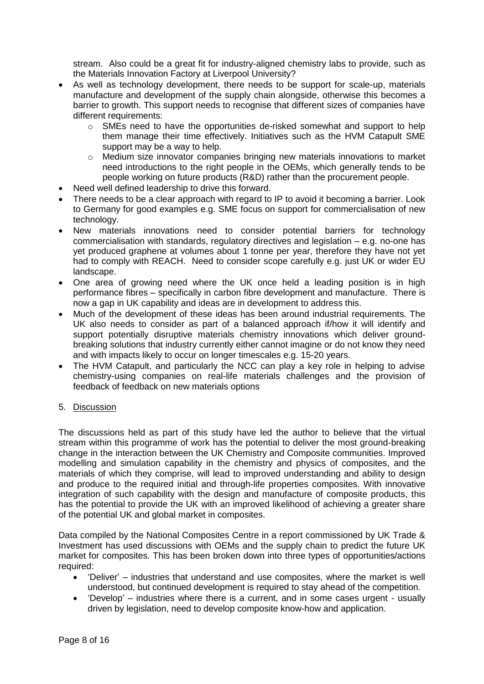stream. Also could be a great fit for industry-aligned chemistry labs to provide, such as the Materials Innovation Factory at Liverpool University?

- As well as technology development, there needs to be support for scale-up, materials manufacture and development of the supply chain alongside, otherwise this becomes a barrier to growth. This support needs to recognise that different sizes of companies have different requirements:
	- $\circ$  SMEs need to have the opportunities de-risked somewhat and support to help them manage their time effectively. Initiatives such as the HVM Catapult SME support may be a way to help.
	- o Medium size innovator companies bringing new materials innovations to market need introductions to the right people in the OEMs, which generally tends to be people working on future products (R&D) rather than the procurement people.
- Need well defined leadership to drive this forward.
- There needs to be a clear approach with regard to IP to avoid it becoming a barrier. Look to Germany for good examples e.g. SME focus on support for commercialisation of new technology.
- New materials innovations need to consider potential barriers for technology commercialisation with standards, regulatory directives and legislation – e.g. no-one has yet produced graphene at volumes about 1 tonne per year, therefore they have not yet had to comply with REACH. Need to consider scope carefully e.g. just UK or wider EU landscape.
- One area of growing need where the UK once held a leading position is in high performance fibres – specifically in carbon fibre development and manufacture. There is now a gap in UK capability and ideas are in development to address this.
- Much of the development of these ideas has been around industrial requirements. The UK also needs to consider as part of a balanced approach if/how it will identify and support potentially disruptive materials chemistry innovations which deliver groundbreaking solutions that industry currently either cannot imagine or do not know they need and with impacts likely to occur on longer timescales e.g. 15-20 years.
- The HVM Catapult, and particularly the NCC can play a key role in helping to advise chemistry-using companies on real-life materials challenges and the provision of feedback of feedback on new materials options
- <span id="page-7-0"></span>5. Discussion

The discussions held as part of this study have led the author to believe that the virtual stream within this programme of work has the potential to deliver the most ground-breaking change in the interaction between the UK Chemistry and Composite communities. Improved modelling and simulation capability in the chemistry and physics of composites, and the materials of which they comprise, will lead to improved understanding and ability to design and produce to the required initial and through-life properties composites. With innovative integration of such capability with the design and manufacture of composite products, this has the potential to provide the UK with an improved likelihood of achieving a greater share of the potential UK and global market in composites.

Data compiled by the National Composites Centre in a report commissioned by UK Trade & Investment has used discussions with OEMs and the supply chain to predict the future UK market for composites. This has been broken down into three types of opportunities/actions required:

- 'Deliver' industries that understand and use composites, where the market is well understood, but continued development is required to stay ahead of the competition.
- 'Develop' industries where there is a current, and in some cases urgent usually driven by legislation, need to develop composite know-how and application.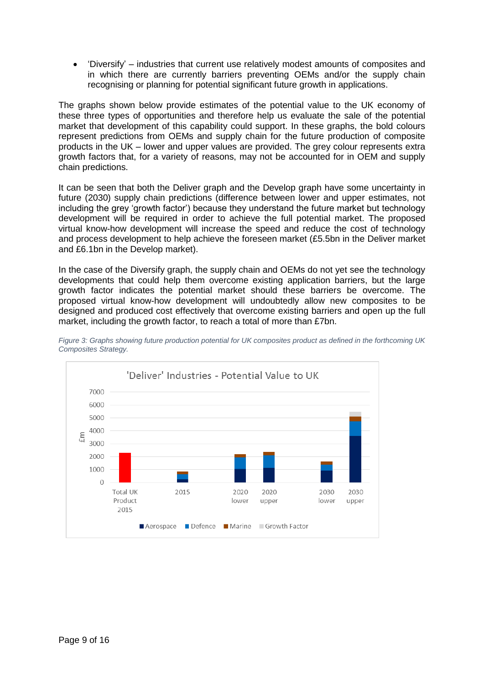'Diversify' – industries that current use relatively modest amounts of composites and in which there are currently barriers preventing OEMs and/or the supply chain recognising or planning for potential significant future growth in applications.

The graphs shown below provide estimates of the potential value to the UK economy of these three types of opportunities and therefore help us evaluate the sale of the potential market that development of this capability could support. In these graphs, the bold colours represent predictions from OEMs and supply chain for the future production of composite products in the UK – lower and upper values are provided. The grey colour represents extra growth factors that, for a variety of reasons, may not be accounted for in OEM and supply chain predictions.

It can be seen that both the Deliver graph and the Develop graph have some uncertainty in future (2030) supply chain predictions (difference between lower and upper estimates, not including the grey 'growth factor') because they understand the future market but technology development will be required in order to achieve the full potential market. The proposed virtual know-how development will increase the speed and reduce the cost of technology and process development to help achieve the foreseen market (£5.5bn in the Deliver market and £6.1bn in the Develop market).

In the case of the Diversify graph, the supply chain and OEMs do not yet see the technology developments that could help them overcome existing application barriers, but the large growth factor indicates the potential market should these barriers be overcome. The proposed virtual know-how development will undoubtedly allow new composites to be designed and produced cost effectively that overcome existing barriers and open up the full market, including the growth factor, to reach a total of more than £7bn.



*Figure 3: Graphs showing future production potential for UK composites product as defined in the forthcoming UK Composites Strategy.*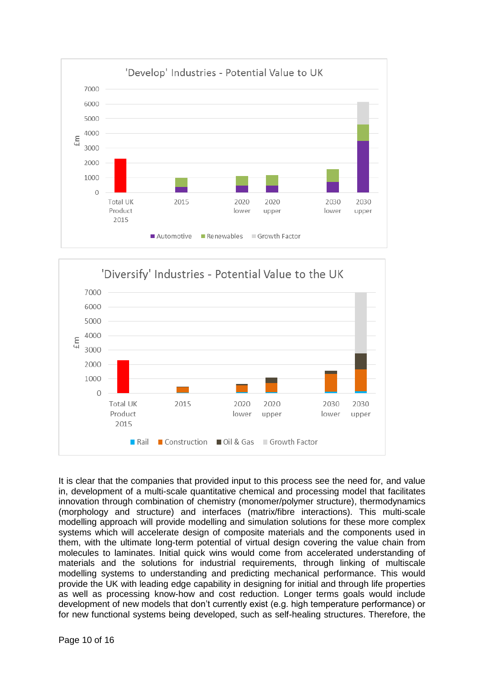



It is clear that the companies that provided input to this process see the need for, and value in, development of a multi-scale quantitative chemical and processing model that facilitates innovation through combination of chemistry (monomer/polymer structure), thermodynamics (morphology and structure) and interfaces (matrix/fibre interactions). This multi-scale modelling approach will provide modelling and simulation solutions for these more complex systems which will accelerate design of composite materials and the components used in them, with the ultimate long-term potential of virtual design covering the value chain from molecules to laminates. Initial quick wins would come from accelerated understanding of materials and the solutions for industrial requirements, through linking of multiscale modelling systems to understanding and predicting mechanical performance. This would provide the UK with leading edge capability in designing for initial and through life properties as well as processing know-how and cost reduction. Longer terms goals would include development of new models that don't currently exist (e.g. high temperature performance) or for new functional systems being developed, such as self-healing structures. Therefore, the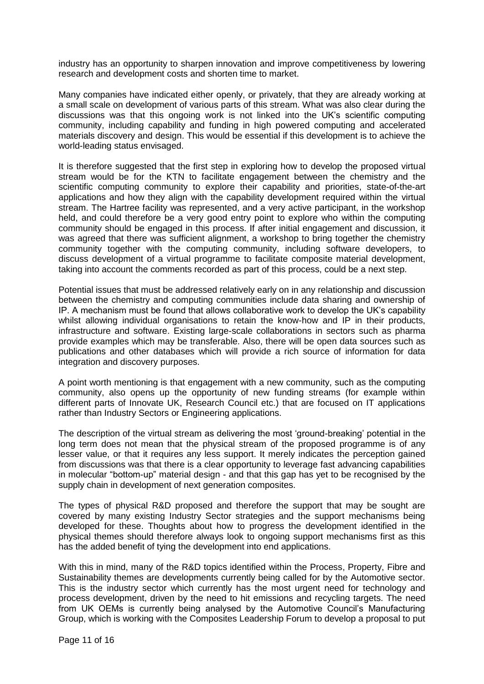industry has an opportunity to sharpen innovation and improve competitiveness by lowering research and development costs and shorten time to market.

Many companies have indicated either openly, or privately, that they are already working at a small scale on development of various parts of this stream. What was also clear during the discussions was that this ongoing work is not linked into the UK's scientific computing community, including capability and funding in high powered computing and accelerated materials discovery and design. This would be essential if this development is to achieve the world-leading status envisaged.

It is therefore suggested that the first step in exploring how to develop the proposed virtual stream would be for the KTN to facilitate engagement between the chemistry and the scientific computing community to explore their capability and priorities, state-of-the-art applications and how they align with the capability development required within the virtual stream. The Hartree facility was represented, and a very active participant, in the workshop held, and could therefore be a very good entry point to explore who within the computing community should be engaged in this process. If after initial engagement and discussion, it was agreed that there was sufficient alignment, a workshop to bring together the chemistry community together with the computing community, including software developers, to discuss development of a virtual programme to facilitate composite material development, taking into account the comments recorded as part of this process, could be a next step.

Potential issues that must be addressed relatively early on in any relationship and discussion between the chemistry and computing communities include data sharing and ownership of IP. A mechanism must be found that allows collaborative work to develop the UK's capability whilst allowing individual organisations to retain the know-how and IP in their products, infrastructure and software. Existing large-scale collaborations in sectors such as pharma provide examples which may be transferable. Also, there will be open data sources such as publications and other databases which will provide a rich source of information for data integration and discovery purposes.

A point worth mentioning is that engagement with a new community, such as the computing community, also opens up the opportunity of new funding streams (for example within different parts of Innovate UK, Research Council etc.) that are focused on IT applications rather than Industry Sectors or Engineering applications.

The description of the virtual stream as delivering the most 'ground-breaking' potential in the long term does not mean that the physical stream of the proposed programme is of any lesser value, or that it requires any less support. It merely indicates the perception gained from discussions was that there is a clear opportunity to leverage fast advancing capabilities in molecular "bottom-up" material design - and that this gap has yet to be recognised by the supply chain in development of next generation composites.

The types of physical R&D proposed and therefore the support that may be sought are covered by many existing Industry Sector strategies and the support mechanisms being developed for these. Thoughts about how to progress the development identified in the physical themes should therefore always look to ongoing support mechanisms first as this has the added benefit of tying the development into end applications.

With this in mind, many of the R&D topics identified within the Process, Property, Fibre and Sustainability themes are developments currently being called for by the Automotive sector. This is the industry sector which currently has the most urgent need for technology and process development, driven by the need to hit emissions and recycling targets. The need from UK OEMs is currently being analysed by the Automotive Council's Manufacturing Group, which is working with the Composites Leadership Forum to develop a proposal to put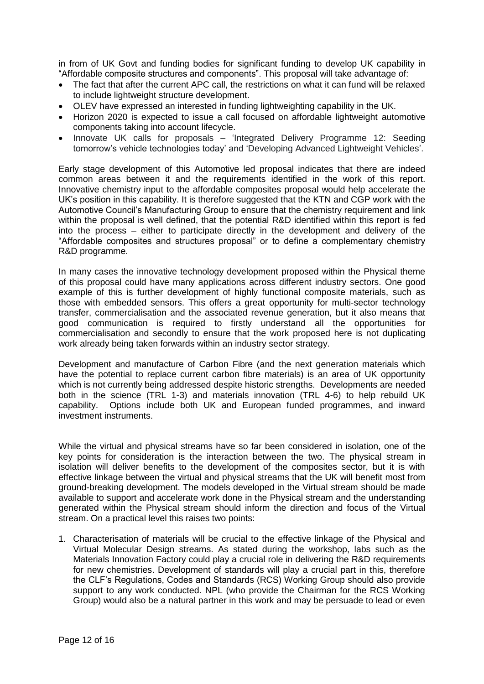in from of UK Govt and funding bodies for significant funding to develop UK capability in "Affordable composite structures and components". This proposal will take advantage of:

- The fact that after the current APC call, the restrictions on what it can fund will be relaxed to include lightweight structure development.
- OLEV have expressed an interested in funding lightweighting capability in the UK.
- Horizon 2020 is expected to issue a call focused on affordable lightweight automotive components taking into account lifecycle.
- Innovate UK calls for proposals 'Integrated Delivery Programme 12: Seeding tomorrow's vehicle technologies today' and 'Developing Advanced Lightweight Vehicles'.

Early stage development of this Automotive led proposal indicates that there are indeed common areas between it and the requirements identified in the work of this report. Innovative chemistry input to the affordable composites proposal would help accelerate the UK's position in this capability. It is therefore suggested that the KTN and CGP work with the Automotive Council's Manufacturing Group to ensure that the chemistry requirement and link within the proposal is well defined, that the potential R&D identified within this report is fed into the process – either to participate directly in the development and delivery of the "Affordable composites and structures proposal" or to define a complementary chemistry R&D programme.

In many cases the innovative technology development proposed within the Physical theme of this proposal could have many applications across different industry sectors. One good example of this is further development of highly functional composite materials, such as those with embedded sensors. This offers a great opportunity for multi-sector technology transfer, commercialisation and the associated revenue generation, but it also means that good communication is required to firstly understand all the opportunities for commercialisation and secondly to ensure that the work proposed here is not duplicating work already being taken forwards within an industry sector strategy.

Development and manufacture of Carbon Fibre (and the next generation materials which have the potential to replace current carbon fibre materials) is an area of UK opportunity which is not currently being addressed despite historic strengths. Developments are needed both in the science (TRL 1-3) and materials innovation (TRL 4-6) to help rebuild UK capability. Options include both UK and European funded programmes, and inward investment instruments.

While the virtual and physical streams have so far been considered in isolation, one of the key points for consideration is the interaction between the two. The physical stream in isolation will deliver benefits to the development of the composites sector, but it is with effective linkage between the virtual and physical streams that the UK will benefit most from ground-breaking development. The models developed in the Virtual stream should be made available to support and accelerate work done in the Physical stream and the understanding generated within the Physical stream should inform the direction and focus of the Virtual stream. On a practical level this raises two points:

1. Characterisation of materials will be crucial to the effective linkage of the Physical and Virtual Molecular Design streams. As stated during the workshop, labs such as the Materials Innovation Factory could play a crucial role in delivering the R&D requirements for new chemistries. Development of standards will play a crucial part in this, therefore the CLF's Regulations, Codes and Standards (RCS) Working Group should also provide support to any work conducted. NPL (who provide the Chairman for the RCS Working Group) would also be a natural partner in this work and may be persuade to lead or even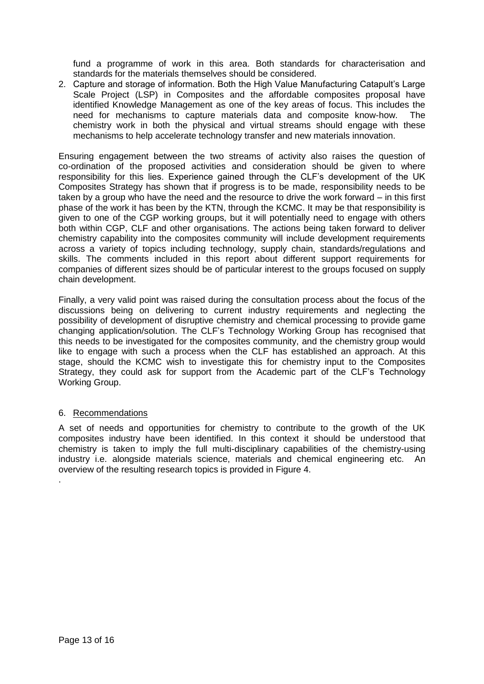fund a programme of work in this area. Both standards for characterisation and standards for the materials themselves should be considered.

2. Capture and storage of information. Both the High Value Manufacturing Catapult's Large Scale Project (LSP) in Composites and the affordable composites proposal have identified Knowledge Management as one of the key areas of focus. This includes the need for mechanisms to capture materials data and composite know-how. The chemistry work in both the physical and virtual streams should engage with these mechanisms to help accelerate technology transfer and new materials innovation.

Ensuring engagement between the two streams of activity also raises the question of co-ordination of the proposed activities and consideration should be given to where responsibility for this lies. Experience gained through the CLF's development of the UK Composites Strategy has shown that if progress is to be made, responsibility needs to be taken by a group who have the need and the resource to drive the work forward – in this first phase of the work it has been by the KTN, through the KCMC. It may be that responsibility is given to one of the CGP working groups, but it will potentially need to engage with others both within CGP, CLF and other organisations. The actions being taken forward to deliver chemistry capability into the composites community will include development requirements across a variety of topics including technology, supply chain, standards/regulations and skills. The comments included in this report about different support requirements for companies of different sizes should be of particular interest to the groups focused on supply chain development.

Finally, a very valid point was raised during the consultation process about the focus of the discussions being on delivering to current industry requirements and neglecting the possibility of development of disruptive chemistry and chemical processing to provide game changing application/solution. The CLF's Technology Working Group has recognised that this needs to be investigated for the composites community, and the chemistry group would like to engage with such a process when the CLF has established an approach. At this stage, should the KCMC wish to investigate this for chemistry input to the Composites Strategy, they could ask for support from the Academic part of the CLF's Technology Working Group.

## <span id="page-12-0"></span>6. Recommendations

.

A set of needs and opportunities for chemistry to contribute to the growth of the UK composites industry have been identified. In this context it should be understood that chemistry is taken to imply the full multi-disciplinary capabilities of the chemistry-using industry i.e. alongside materials science, materials and chemical engineering etc. An overview of the resulting research topics is provided in [Figure 4.](#page-13-0)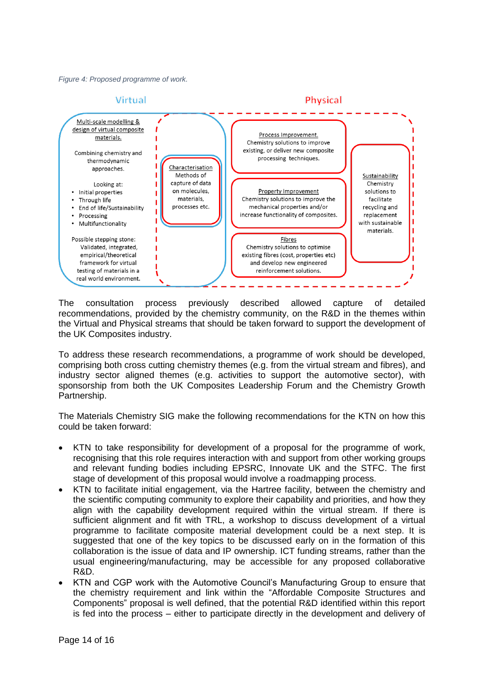<span id="page-13-0"></span>*Figure 4: Proposed programme of work.*



The consultation process previously described allowed capture of detailed recommendations, provided by the chemistry community, on the R&D in the themes within the Virtual and Physical streams that should be taken forward to support the development of the UK Composites industry.

To address these research recommendations, a programme of work should be developed, comprising both cross cutting chemistry themes (e.g. from the virtual stream and fibres), and industry sector aligned themes (e.g. activities to support the automotive sector), with sponsorship from both the UK Composites Leadership Forum and the Chemistry Growth Partnership.

The Materials Chemistry SIG make the following recommendations for the KTN on how this could be taken forward:

- KTN to take responsibility for development of a proposal for the programme of work, recognising that this role requires interaction with and support from other working groups and relevant funding bodies including EPSRC, Innovate UK and the STFC. The first stage of development of this proposal would involve a roadmapping process.
- KTN to facilitate initial engagement, via the Hartree facility, between the chemistry and the scientific computing community to explore their capability and priorities, and how they align with the capability development required within the virtual stream. If there is sufficient alignment and fit with TRL, a workshop to discuss development of a virtual programme to facilitate composite material development could be a next step. It is suggested that one of the key topics to be discussed early on in the formation of this collaboration is the issue of data and IP ownership. ICT funding streams, rather than the usual engineering/manufacturing, may be accessible for any proposed collaborative R&D.
- KTN and CGP work with the Automotive Council's Manufacturing Group to ensure that the chemistry requirement and link within the "Affordable Composite Structures and Components" proposal is well defined, that the potential R&D identified within this report is fed into the process – either to participate directly in the development and delivery of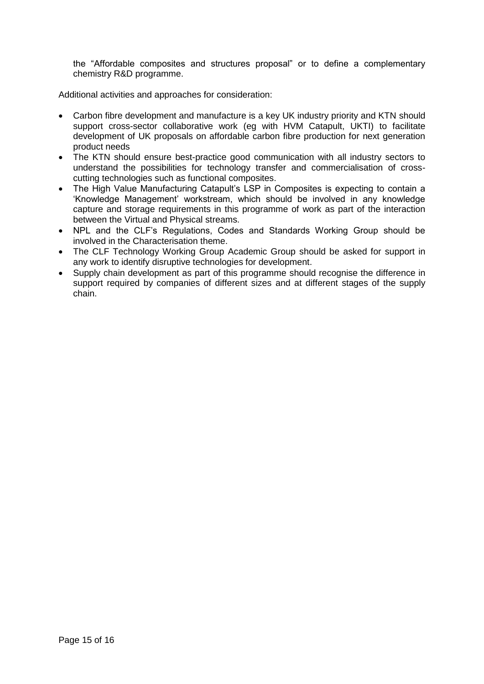the "Affordable composites and structures proposal" or to define a complementary chemistry R&D programme.

Additional activities and approaches for consideration:

- Carbon fibre development and manufacture is a key UK industry priority and KTN should support cross-sector collaborative work (eg with HVM Catapult, UKTI) to facilitate development of UK proposals on affordable carbon fibre production for next generation product needs
- The KTN should ensure best-practice good communication with all industry sectors to understand the possibilities for technology transfer and commercialisation of crosscutting technologies such as functional composites.
- The High Value Manufacturing Catapult's LSP in Composites is expecting to contain a 'Knowledge Management' workstream, which should be involved in any knowledge capture and storage requirements in this programme of work as part of the interaction between the Virtual and Physical streams.
- NPL and the CLF's Regulations, Codes and Standards Working Group should be involved in the Characterisation theme.
- The CLF Technology Working Group Academic Group should be asked for support in any work to identify disruptive technologies for development.
- Supply chain development as part of this programme should recognise the difference in support required by companies of different sizes and at different stages of the supply chain.